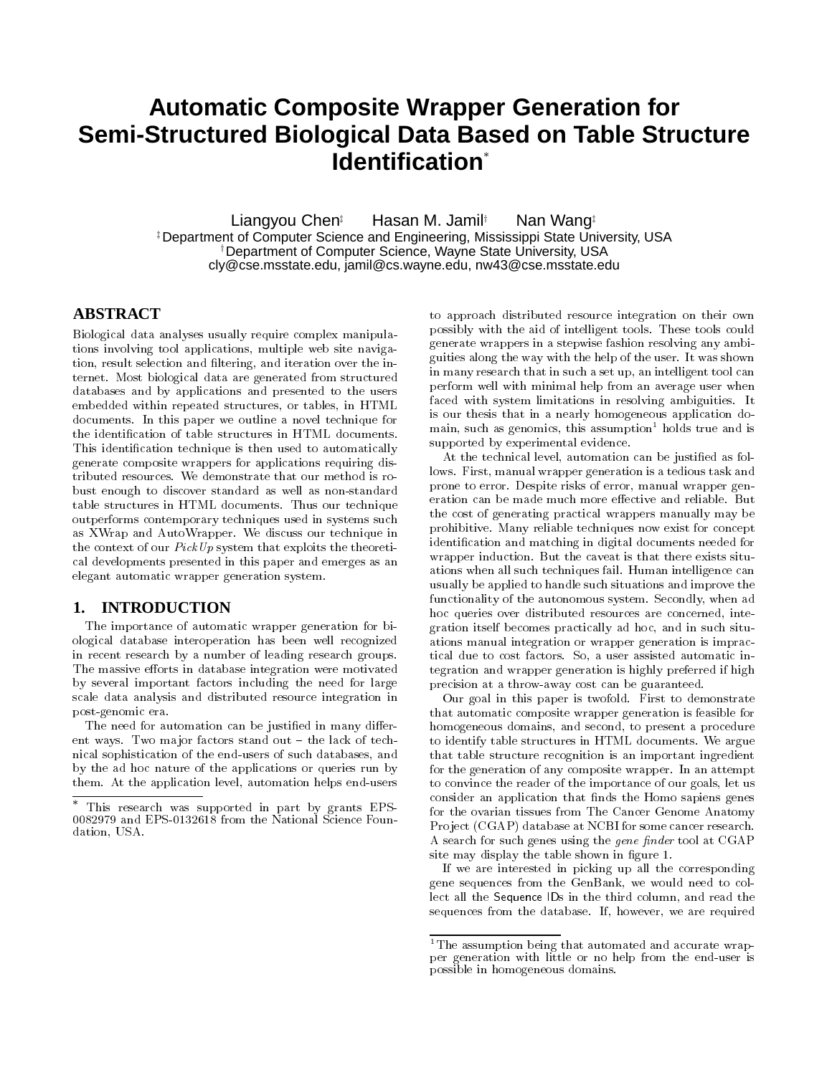# **Automatic Composite Wrapper Generation for** Semi-Structured Biological Data Based on Table Structure Identification\*

Liangyou Chen Hasan M. Jamilt Nan Wang <sup>‡</sup>Department of Computer Science and Engineering, Mississippi State University, USA Department of Computer Science, Wayne State University, USA cly@cse.msstate.edu.jamil@cs.wayne.edu.nw43@cse.msstate.edu

## **ABSTRACT**

Biological data analyses usually require complex manipulations involving tool applications, multiple web site navigation, result selection and filtering, and iteration over the internet. Most biological data are generated from structured databases and by applications and presented to the users embedded within repeated structures, or tables, in HTML documents. In this paper we outline a novel technique for the identification of table structures in HTML documents. This identification technique is then used to automatically generate composite wrappers for applications requiring distributed resources. We demonstrate that our method is robust enough to discover standard as well as non-standard table structures in HTML documents. Thus our technique outperforms contemporary techniques used in systems such as XWrap and AutoWrapper. We discuss our technique in the context of our  $PickUp$  system that exploits the theoretical developments presented in this paper and emerges as an elegant automatic wrapper generation system.

#### **INTRODUCTION** 1.

The importance of automatic wrapper generation for biological database interoperation has been well recognized in recent research by a number of leading research groups. The massive efforts in database integration were motivated by several important factors including the need for large scale data analysis and distributed resource integration in post-genomic era.

The need for automation can be justified in many different ways. Two major factors stand out - the lack of technical sophistication of the end-users of such databases, and by the ad hoc nature of the applications or queries run by them. At the application level, automation helps end-users

to approach distributed resource integration on their own possibly with the aid of intelligent tools. These tools could generate wrappers in a stepwise fashion resolving any ambiguities along the way with the help of the user. It was shown in many research that in such a set up, an intelligent tool can perform well with minimal help from an average user when faced with system limitations in resolving ambiguities. It is our thesis that in a nearly homogeneous application domain, such as genomics, this assumption<sup>1</sup> holds true and is supported by experimental evidence.

At the technical level, automation can be justified as follows. First, manual wrapper generation is a tedious task and prone to error. Despite risks of error, manual wrapper generation can be made much more effective and reliable. But the cost of generating practical wrappers manually may be prohibitive. Many reliable techniques now exist for concept identification and matching in digital documents needed for wrapper induction. But the caveat is that there exists situations when all such techniques fail. Human intelligence can usually be applied to handle such situations and improve the functionality of the autonomous system. Secondly, when ad hoc queries over distributed resources are concerned, integration itself becomes practically ad hoc, and in such situations manual integration or wrapper generation is impractical due to cost factors. So, a user assisted automatic integration and wrapper generation is highly preferred if high precision at a throw-away cost can be guaranteed.

Our goal in this paper is twofold. First to demonstrate that automatic composite wrapper generation is feasible for homogeneous domains, and second, to present a procedure to identify table structures in HTML documents. We argue that table structure recognition is an important ingredient for the generation of any composite wrapper. In an attempt to convince the reader of the importance of our goals, let us consider an application that finds the Homo sapiens genes for the ovarian tissues from The Cancer Genome Anatomy Project (CGAP) database at NCBI for some cancer research. A search for such genes using the *gene* finder tool at CGAP site may display the table shown in figure 1.

If we are interested in picking up all the corresponding gene sequences from the GenBank, we would need to collect all the Sequence IDs in the third column, and read the sequences from the database. If, however, we are required

<sup>\*</sup> This research was supported in part by grants EPS-0082979 and EPS-0132618 from the National Science Foundation. USA.

 $^1\mathrm{The}$  assumption being that automated and accurate wrapper generation with little or no help from the end-user is possible in homogeneous domains.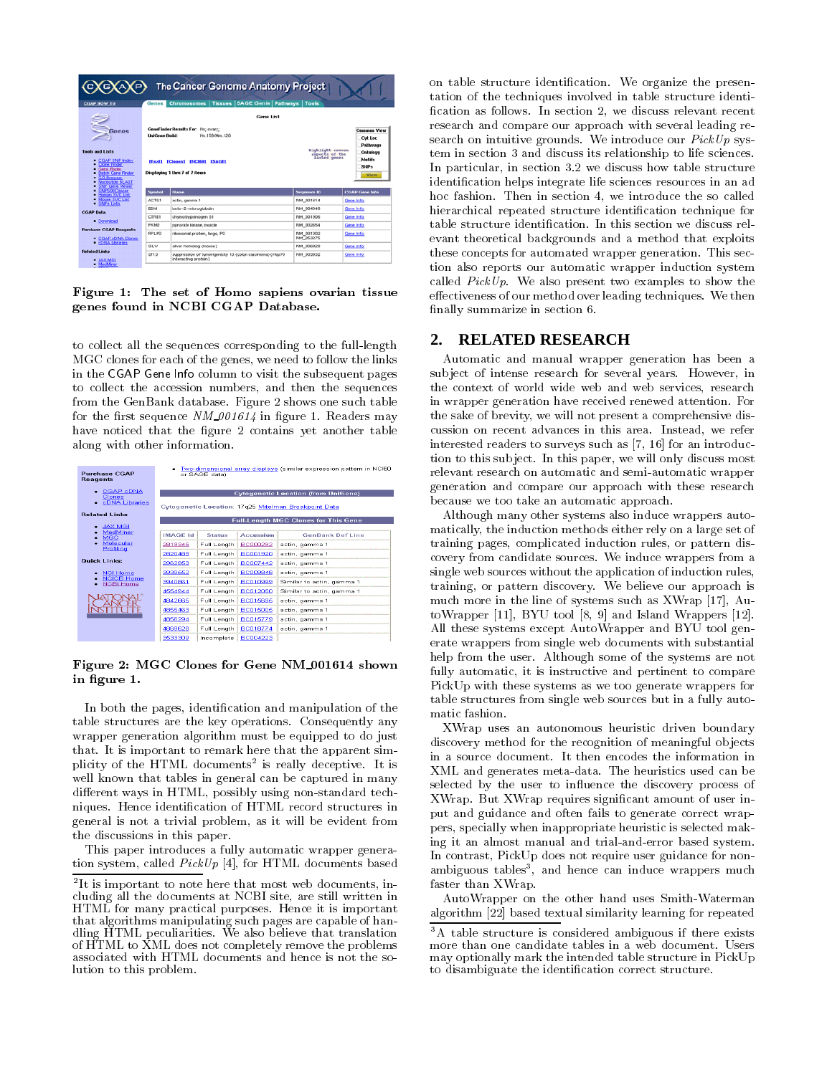| XGXAXP)<br>The Cancer Genome Anatomy Project                                                                                                                                            |                  |                                                                                   |                                                           |                                                                       |  |  |  |
|-----------------------------------------------------------------------------------------------------------------------------------------------------------------------------------------|------------------|-----------------------------------------------------------------------------------|-----------------------------------------------------------|-----------------------------------------------------------------------|--|--|--|
| <b>CGAP HOW TO</b>                                                                                                                                                                      | Genes            | Chromosomes   Tissues   SAGE Genie   Pathways   Tools                             |                                                           |                                                                       |  |  |  |
| Genes                                                                                                                                                                                   | UniCese Build:   | Gene List<br>GeneFieder Results For: Hs: overy:<br>Hs. 159/Mm. 120                |                                                           |                                                                       |  |  |  |
| <b>Tools and Lists</b><br>CGAP SNP Index<br>- Clone Finder<br>Gene Finder<br>٠<br><b>Batch Gene Finder</b><br><b>GO Browser</b><br>۰<br><b>Wideotide BLAST</b><br><b>SNP Gene Mewer</b> |                  | [Text] [Clones] [NC860] [SAGE]<br>Displaying 1 thru 7 of 7 items                  | <b>Highlight</b> common<br>aspects of the<br>listed genes | Pathways<br>Ontology<br>Malify.<br>SMP <sub>s</sub><br><b>Wildrey</b> |  |  |  |
| <b>NEXT Cancer</b><br>Homan SVC List                                                                                                                                                    | Symbol           | <b>Name</b>                                                                       | <b>Sequence ID</b>                                        | <b>CGAP Gene lafe</b>                                                 |  |  |  |
| <b>Mouse SVC List</b><br><b>SNPs Lists</b><br>٠                                                                                                                                         | ACTG1            | actin, gamma 1                                                                    | NM_001614                                                 | Gene Info.                                                            |  |  |  |
| CGAP bala                                                                                                                                                                               | B <sub>2</sub> M | beta-2-microglobulin                                                              | NM 004048                                                 | Gene Info                                                             |  |  |  |
| · Download                                                                                                                                                                              | CTRB1            | chymotrypsinogen B1                                                               | NM 001906                                                 | Gene Info                                                             |  |  |  |
|                                                                                                                                                                                         | <b>PKM2</b>      | pyruvate kinase, muscle                                                           | NM_002654                                                 | Gene Info                                                             |  |  |  |
| <b>Purchase CGAP Reagents</b><br>CGAP cDNA Clones<br><b>CONA Libraries</b>                                                                                                              | RPLPO            | ribosomal protein, large, PO                                                      | NM 001002<br>NM 053275                                    | Gene Info                                                             |  |  |  |
|                                                                                                                                                                                         | <b>SILV</b>      | silver homolog (mouse)                                                            | NM_006SC6I                                                | Gene Info.                                                            |  |  |  |
| <b>Belated Links</b><br><b>JAX MGI</b><br>MedMore                                                                                                                                       | <b>ST13</b>      | suppression of tumorigenicity 13 (colon carcinoma) (Hsp70<br>interacting protein) | NM 003932                                                 | Gene Info                                                             |  |  |  |

Figure 1: The set of Homo sapiens ovarian tissue genes found in NCBI CGAP Database.

to collect all the sequences corresponding to the full-length MGC clones for each of the genes, we need to follow the links in the CGAP Gene Info column to visit the subsequent pages to collect the accession numbers, and then the sequences from the GenBank database. Figure 2 shows one such table for the first sequence  $NM_001614$  in figure 1. Readers may have noticed that the figure 2 contains yet another table along with other information.

| <b>Purchase CCAP</b><br><b>Reagents</b>                                                                                                                                      | Two-dimensional array displays (similar expression pattern in NCI60<br>or SAGE data)                |                            |                                    |                                             |  |  |
|------------------------------------------------------------------------------------------------------------------------------------------------------------------------------|-----------------------------------------------------------------------------------------------------|----------------------------|------------------------------------|---------------------------------------------|--|--|
| CGAP cDNA<br><b>Clones</b><br><b>cDNA Libraries</b>                                                                                                                          | <b>Cytogenetic Location (from UniGene)</b>                                                          |                            |                                    |                                             |  |  |
| <b>Related Links</b><br><b>JAX MGI</b><br>MedMiner<br><b>MGC</b><br>Molecular<br>Profiling<br><b>Quick Links:</b><br><b>NCLHome</b><br><b>NCICB Home</b><br><b>NCBI Home</b> | Cytogenetic Location: 17q25 Mitelman Breakpoint Data<br><b>Full-Length MGC Clones for This Gene</b> |                            |                                    |                                             |  |  |
|                                                                                                                                                                              | IMAGE Id.                                                                                           | <b>Status</b>              | Accossion                          | <b>GenBank Def Line</b>                     |  |  |
|                                                                                                                                                                              | 2819345<br>2820489                                                                                  | Full Length<br>Full Length | BC000292<br>BC001920               | actin, gamma 1<br>actin, gamma 1            |  |  |
|                                                                                                                                                                              | 2962953                                                                                             | Full Lenath                | BC007442                           | actin, gamma 1                              |  |  |
|                                                                                                                                                                              | 3939552<br>3940861                                                                                  | Full Lenath<br>Full Length | <b>BC009848</b><br><b>BC010999</b> | actin, gamma 1<br>Similar to actin, gamma 1 |  |  |
|                                                                                                                                                                              | 4554944<br>4842665                                                                                  | Full Length<br>Full Lenath | <b>BC012050</b><br><b>BC015695</b> | Similar to actin, gamma 1<br>actin, gamma 1 |  |  |
|                                                                                                                                                                              | 4855463                                                                                             | Full Length                | <b>BC015005</b>                    | actin, gamma 1                              |  |  |
|                                                                                                                                                                              | 4856294<br>4869628                                                                                  | Full Length<br>Full Length | <b>BC015779</b><br><b>BC018774</b> | actin, gamma 1<br>actin, gamma 1            |  |  |
|                                                                                                                                                                              | 3533309                                                                                             | Incomplete                 | <b>BC004223</b>                    |                                             |  |  |

Figure 2: MGC Clones for Gene NM\_001614 shown in figure 1.

In both the pages, identification and manipulation of the table structures are the key operations. Consequently any wrapper generation algorithm must be equipped to do just that. It is important to remark here that the apparent simplicity of the HTML documents<sup>2</sup> is really deceptive. It is well known that tables in general can be captured in many different ways in HTML, possibly using non-standard techniques. Hence identification of HTML record structures in general is not a trivial problem, as it will be evident from the discussions in this paper.

This paper introduces a fully automatic wrapper generation system, called  $PickUp$  [4], for HTML documents based on table structure identification. We organize the presentation of the techniques involved in table structure identification as follows. In section 2, we discuss relevant recent research and compare our approach with several leading research on intuitive grounds. We introduce our *PickUp* system in section 3 and discuss its relationship to life sciences. In particular, in section 3.2 we discuss how table structure identification helps integrate life sciences resources in an ad hoc fashion. Then in section 4, we introduce the so called hierarchical repeated structure identification technique for table structure identification. In this section we discuss relevant theoretical backgrounds and a method that exploits these concepts for automated wrapper generation. This section also reports our automatic wrapper induction system called  $PickUp$ . We also present two examples to show the effectiveness of our method over leading techniques. We then finally summarize in section 6.

#### **RELATED RESEARCH** 2.

Automatic and manual wrapper generation has been a subject of intense research for several years. However, in the context of world wide web and web services, research in wrapper generation have received renewed attention. For the sake of brevity, we will not present a comprehensive discussion on recent advances in this area. Instead, we refer interested readers to surveys such as [7, 16] for an introduction to this subject. In this paper, we will only discuss most relevant research on automatic and semi-automatic wrapper generation and compare our approach with these research because we too take an automatic approach.

Although many other systems also induce wrappers automatically, the induction methods either rely on a large set of training pages, complicated induction rules, or pattern discovery from candidate sources. We induce wrappers from a single web sources without the application of induction rules, training, or pattern discovery. We believe our approach is much more in the line of systems such as XWrap [17], AutoWrapper [11], BYU tool [8, 9] and Island Wrappers [12]. All these systems except AutoWrapper and BYU tool generate wrappers from single web documents with substantial help from the user. Although some of the systems are not fully automatic, it is instructive and pertinent to compare PickUp with these systems as we too generate wrappers for table structures from single web sources but in a fully automatic fashion.

XWrap uses an autonomous heuristic driven boundary discovery method for the recognition of meaningful objects in a source document. It then encodes the information in XML and generates meta-data. The heuristics used can be selected by the user to influence the discovery process of XWrap. But XWrap requires significant amount of user input and guidance and often fails to generate correct wrappers, specially when inappropriate heuristic is selected making it an almost manual and trial-and-error based system. In contrast, PickUp does not require user guidance for nonambiguous tables<sup>3</sup>, and hence can induce wrappers much faster than XWrap.

AutoWrapper on the other hand uses Smith-Waterman algorithm [22] based textual similarity learning for repeated

<sup>&</sup>lt;sup>2</sup>It is important to note here that most web documents, including all the documents at NCBI site, are still written in HTML for many practical purposes. Hence it is important that algorithms manipulating such pages are capable of handling HTML peculiarities. We also believe that translation of HTML to XML does not completely remove the problems associated with HTML documents and hence is not the solution to this problem.

<sup>&</sup>lt;sup>3</sup>A table structure is considered ambiguous if there exists more than one candidate tables in a web document. Users may optionally mark the intended table structure in PickUp to disambiguate the identification correct structure.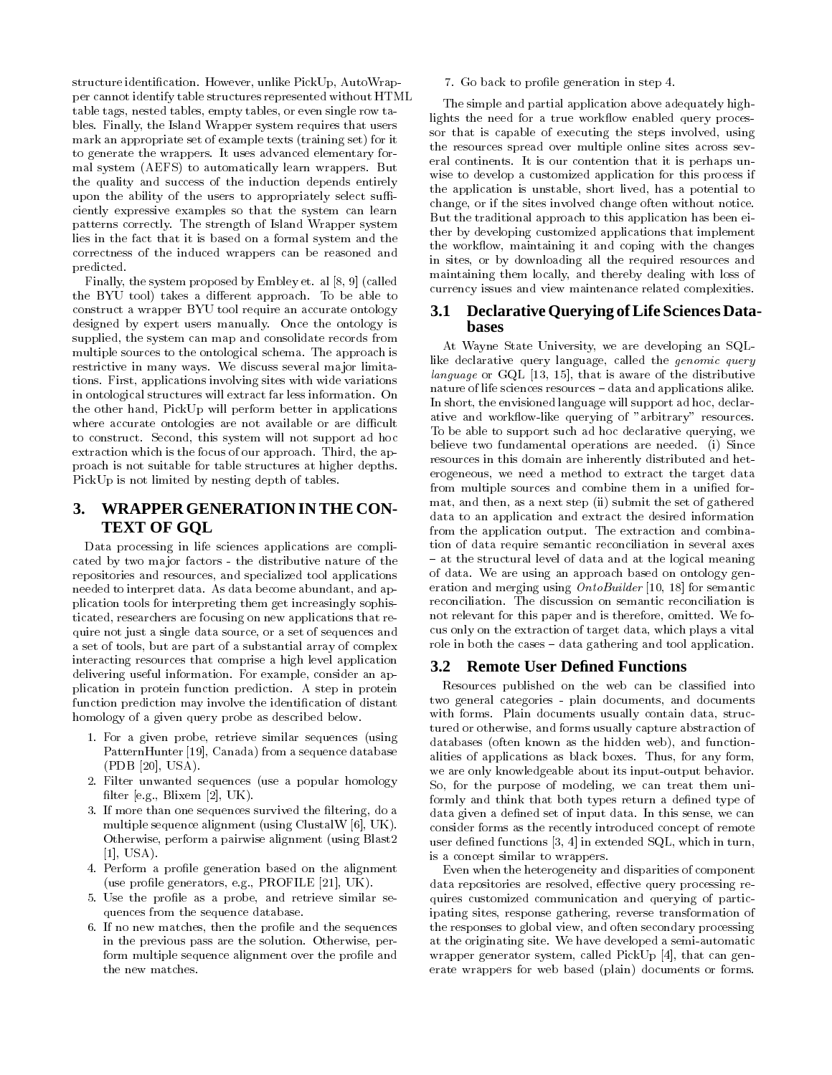structure identification. However, unlike PickUp, AutoWrapper cannot identify table structures represented without HTML table tags, nested tables, empty tables, or even single row tables. Finally, the Island Wrapper system requires that users mark an appropriate set of example texts (training set) for it to generate the wrappers. It uses advanced elementary formal system (AEFS) to automatically learn wrappers. But the quality and success of the induction depends entirely upon the ability of the users to appropriately select sufficiently expressive examples so that the system can learn patterns correctly. The strength of Island Wrapper system lies in the fact that it is based on a formal system and the correctness of the induced wrappers can be reasoned and predicted.

Finally, the system proposed by Embley et. al [8, 9] (called the BYU tool) takes a different approach. To be able to construct a wrapper BYU tool require an accurate ontology designed by expert users manually. Once the ontology is supplied, the system can map and consolidate records from multiple sources to the ontological schema. The approach is restrictive in many ways. We discuss several major limitations. First, applications involving sites with wide variations in ontological structures will extract far less information. On the other hand, PickUp will perform better in applications where accurate ontologies are not available or are difficult to construct. Second, this system will not support ad hoc extraction which is the focus of our approach. Third, the approach is not suitable for table structures at higher depths. PickUp is not limited by nesting depth of tables.

# 3. WRAPPER GENERATION IN THE CON-**TEXT OF GOL**

Data processing in life sciences applications are complicated by two major factors - the distributive nature of the repositories and resources, and specialized tool applications needed to interpret data. As data become abundant, and application tools for interpreting them get increasingly sophisticated, researchers are focusing on new applications that require not just a single data source, or a set of sequences and a set of tools, but are part of a substantial array of complex interacting resources that comprise a high level application delivering useful information. For example, consider an application in protein function prediction. A step in protein function prediction may involve the identification of distant homology of a given query probe as described below.

- 1. For a given probe, retrieve similar sequences (using PatternHunter [19], Canada) from a sequence database (PDB [20], USA).
- 2. Filter unwanted sequences (use a popular homology filter  $[e.g., Blixem [2], UK)$ .
- 3. If more than one sequences survived the filtering, do a multiple sequence alignment (using ClustalW [6], UK). Otherwise, perform a pairwise alignment (using Blast2  $[1]$ , USA).
- 4. Perform a profile generation based on the alignment (use profile generators, e.g., PROFILE [21], UK).
- 5. Use the profile as a probe, and retrieve similar sequences from the sequence database.
- 6. If no new matches, then the profile and the sequences in the previous pass are the solution. Otherwise, perform multiple sequence alignment over the profile and the new matches.

7. Go back to profile generation in step 4.

The simple and partial application above adequately highlights the need for a true workflow enabled query processor that is capable of executing the steps involved, using the resources spread over multiple online sites across several continents. It is our contention that it is perhaps unwise to develop a customized application for this process if the application is unstable, short lived, has a potential to change, or if the sites involved change often without notice. But the traditional approach to this application has been either by developing customized applications that implement the workflow, maintaining it and coping with the changes in sites, or by downloading all the required resources and maintaining them locally, and thereby dealing with loss of currency issues and view maintenance related complexities.

#### $3.1$ Declarative Querying of Life Sciences Data**bases**

At Wayne State University, we are developing an SQL like declarative query language, called the *genomic query language* or GQL  $[13, 15]$ , that is aware of the distributive nature of life sciences resources – data and applications alike. In short, the envisioned language will support ad hoc, declarative and workflow-like querying of "arbitrary" resources. To be able to support such ad hoc declarative querying, we believe two fundamental operations are needed. (i) Since resources in this domain are inherently distributed and heterogeneous, we need a method to extract the target data from multiple sources and combine them in a unified format, and then, as a next step (ii) submit the set of gathered data to an application and extract the desired information from the application output. The extraction and combination of data require semantic reconciliation in several axes - at the structural level of data and at the logical meaning of data. We are using an approach based on ontology generation and merging using  $OntoBuilder$  [10, 18] for semantic reconciliation. The discussion on semantic reconciliation is not relevant for this paper and is therefore, omitted. We focus only on the extraction of target data, which plays a vital role in both the cases – data gathering and tool application.

### **3.2** Remote User Defined Functions

Resources published on the web can be classified into two general categories - plain documents, and documents with forms. Plain documents usually contain data, structured or otherwise, and forms usually capture abstraction of databases (often known as the hidden web), and functionalities of applications as black boxes. Thus, for any form, we are only knowledgeable about its input-output behavior. So, for the purpose of modeling, we can treat them uniformly and think that both types return a defined type of data given a defined set of input data. In this sense, we can consider forms as the recently introduced concept of remote user defined functions [3, 4] in extended SQL, which in turn, is a concept similar to wrappers.

Even when the heterogeneity and disparities of component data repositories are resolved, effective query processing requires customized communication and querying of participating sites, response gathering, reverse transformation of the responses to global view, and often secondary processing at the originating site. We have developed a semi-automatic wrapper generator system, called PickUp [4], that can generate wrappers for web based (plain) documents or forms.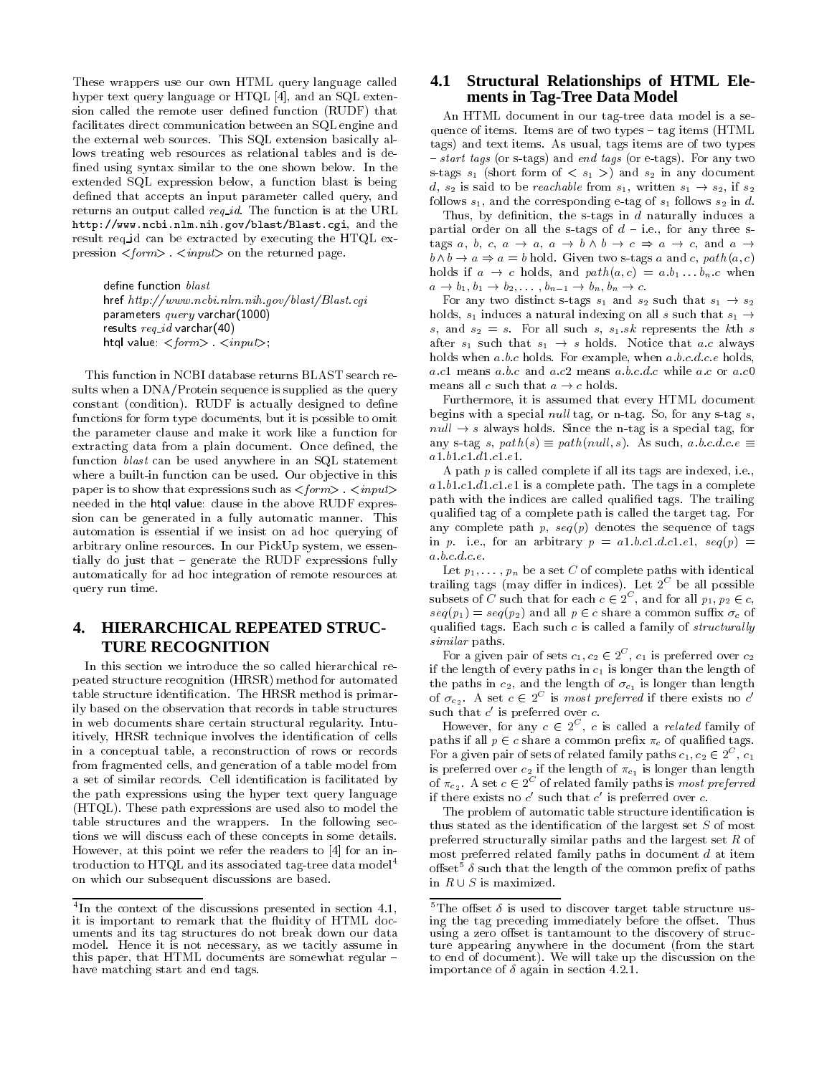These wrappers use our own HTML query language called hyper text query language or HTQL [4], and an SQL extension called the remote user defined function (RUDF) that facilitates direct communication between an SQL engine and the external web sources. This SQL extension basically allows treating web resources as relational tables and is defined using syntax similar to the one shown below. In the extended SQL expression below, a function blast is being defined that accepts an input parameter called query, and returns an output called req\_id. The function is at the URL http://www.ncbi.nlm.nih.gov/blast/Blast.cgi, and the result req\_id can be extracted by executing the HTQL expression  $\langle form \rangle$ .  $\langle input \rangle$  on the returned page.

define function blast href  $http://www.ncbi.nlm.nih.gov/blast/Blast.cqi$ parameters  $query$  varchar $(1000)$ results  $req\_id$  varchar $(40)$ htql value  $\langle form \rangle$ .  $\langle input \rangle$ ;

This function in NCBI database returns BLAST search results when a DNA/Protein sequence is supplied as the query constant (condition). RUDF is actually designed to define functions for form type documents, but it is possible to omit the parameter clause and make it work like a function for extracting data from a plain document. Once defined, the function *blast* can be used anywhere in an SQL statement where a built in function can be used. Our objective in this paper is to show that expressions such as  $\langle form \rangle$ .  $\langle input \rangle$ needed in the htql value clause in the above RUDF expression can be generated in a fully automatic manner. This automation is essential if we insist on ad hoc querying of arbitrary online resources. In our PickUp system, we essentially do just that - generate the RUDF expressions fully automatically for ad hoc integration of remote resources at query run time.

#### **HIERARCHICAL REPEATED STRUC-**4. **TURE RECOGNITION**

In this section we introduce the so called hierarchical repeated structure recognition (HRSR) method for automated table structure identification. The HRSR method is primarily based on the observation that records in table structures in web documents share certain structural regularity. Intuitively, HRSR technique involves the identification of cells in a conceptual table, a reconstruction of rows or records from fragmented cells, and generation of a table model from a set of similar records. Cell identification is facilitated by the path expressions using the hyper text query language (HTQL). These path expressions are used also to model the table structures and the wrappers. In the following sections we will discuss each of these concepts in some details. However, at this point we refer the readers to [4] for an introduction to HTQL and its associated tag-tree data model<sup>4</sup> on which our subsequent discussions are based.

### 4.1 Structural Relationships of HTML Elements in Tag-Tree Data Model

An HTML document in our tag-tree data model is a sequence of items. Items are of two types - tag items (HTML tags) and text items. As usual, tags items are of two types - start tags (or s tags) and end tags (or e-tags). For any two s tags  $s_1$  (short form of  $\langle s_1 \rangle$ ) and  $s_2$  in any document d, s<sub>2</sub> is said to be *reachable* from  $s_1$ , written  $s_1 \rightarrow s_2$ , if  $s_2$ follows  $s_1$ , and the corresponding e-tag of  $s_1$  follows  $s_2$  in d.

Thus, by definition, the s-tags in  $d$  naturally induces a partial order on all the s-tags of  $d$  - i.e., for any three stags a, b, c,  $a \rightarrow a$ ,  $a \rightarrow b \land b \rightarrow c \Rightarrow a \rightarrow c$ , and  $a \rightarrow$  $b \wedge b \rightarrow a \Rightarrow a = b$  hold. Given two s-tags a and c,  $path(a, c)$ holds if  $a \rightarrow c$  holds, and  $path(a, c) = a.b_1 \dots b_n.c$  when  $a \to b_1, b_1 \to b_2, \ldots, b_{n-1} \to b_n, b_n \to c.$ 

For any two distinct stags  $s_1$  and  $s_2$  such that  $s_1 \rightarrow s_2$ holds,  $s_1$  induces a natural indexing on all s such that  $s_1 \rightarrow$ s, and  $s_2 = s$ . For all such s,  $s_1$  sk represents the kth s after  $s_1$  such that  $s_1 \rightarrow s$  holds. Notice that a.c always holds when a.b.c holds. For example, when a.b.c.d.c.e holds, a.c1 means a.b.c and a.c2 means a.b.c.d.c while a.c or a.c0 means all c such that  $a \rightarrow c$  holds.

Furthermore, it is assumed that every HTML document begins with a special *null* tag, or n-tag. So, for any s-tag  $s$ ,  $null \rightarrow s$  always holds. Since the n-tag is a special tag, for any s-tag s,  $path(s) \equiv path(null, s)$ . As such, a.b.c.d.c.e  $\equiv$  $a1.b1.c1.d1.c1.e1.$ 

A path  $p$  is called complete if all its tags are indexed, i.e.,  $a1.b1.c1.d1.c1.e1$  is a complete path. The tags in a complete path with the indices are called qualified tags. The trailing qualified tag of a complete path is called the target tag. For any complete path p,  $seq(p)$  denotes the sequence of tags in p. i.e., for an arbitrary  $p = a1.b.c1.d.c1.e1, seq(p) =$  $a, b, c, d, c, e$ .

Let  $p_1, \ldots, p_n$  be a set C of complete paths with identical trailing tags (may differ in indices). Let  $2^C$  be all possible subsets of C such that for each  $c \in 2^C$ , and for all  $p_1, p_2 \in c$ ,  $\text{seq}(p_1) = \text{seq}(p_2)$  and all  $p \in c$  share a common suffix  $\sigma_c$  of qualified tags. Each such  $c$  is called a family of structurally *similar* paths.

For a given pair of sets  $c_1, c_2 \in 2^C$ ,  $c_1$  is preferred over  $c_2$ if the length of every paths in  $c_1$  is longer than the length of the paths in  $c_2$ , and the length of  $\sigma_{c_1}$  is longer than length<br>of  $\sigma_{c_2}$ . A set  $c \in 2^C$  is *most preferred* if there exists no  $c'$ such that  $c'$  is preferred over  $c$ .

However, for any  $c \in 2^C$ , c is called a *related* family of paths if all  $p \in c$  share a common prefix  $\pi_c$  of qualified tags. For a given pair of sets of related family paths  $c_1, c_2 \in 2^C$ ,  $c_1$ is preferred over  $c_2$  if the length of  $\pi_{c_1}$  is longer than length of  $\pi_{c_2}$ . A set  $c \in 2^C$  of related family paths is *most preferred* if there exists no  $c'$  such that  $c'$  is preferred over c.

The problem of automatic table structure identification is thus stated as the identification of the largest set  $S$  of most preferred structurally similar paths and the largest set  $R$  of most preferred related family paths in document  $d$  at item offset<sup>5</sup>  $\delta$  such that the length of the common prefix of paths in  $R \cup S$  is maximized.

 $4$ In the context of the discussions presented in section 4.1, it is important to remark that the fluidity of HTML documents and its tag structures do not break down our data model. Hence it is not necessary, as we tacitly assume in this paper, that HTML documents are somewhat regular have matching start and end tags.

<sup>&</sup>lt;sup>5</sup>The offset  $\delta$  is used to discover target table structure using the tag preceding immediately before the offset. Thus using a zero offset is tantamount to the discovery of structure appearing anywhere in the document (from the start to end of document). We will take up the discussion on the importance of  $\delta$  again in section 4.2.1.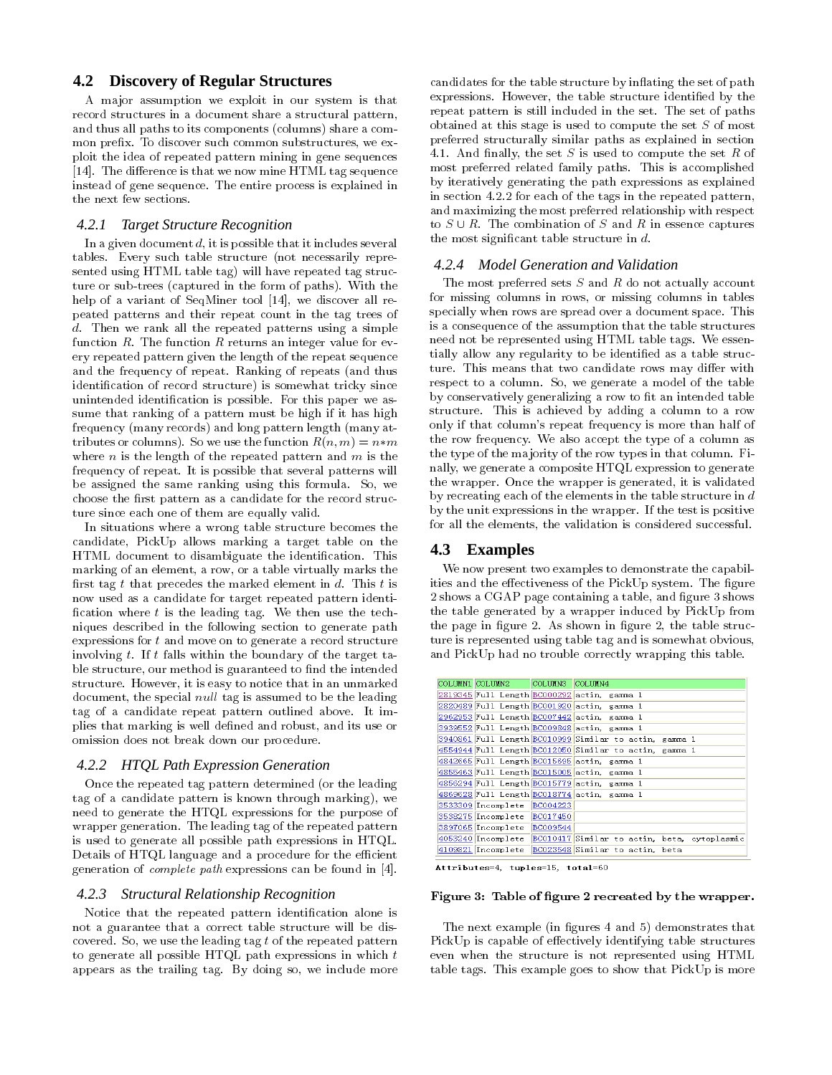#### **Discovery of Regular Structures** 4.2

A major assumption we exploit in our system is that record structures in a document share a structural pattern, and thus all paths to its components (columns) share a common prefix. To discover such common substructures, we exploit the idea of repeated pattern mining in gene sequences [14]. The difference is that we now mine HTML tag sequence instead of gene sequence. The entire process is explained in the next few sections.

### 4.2.1 Target Structure Recognition

In a given document  $d$ , it is possible that it includes several tables. Every such table structure (not necessarily represented using HTML table tag) will have repeated tag structure or sub-trees (captured in the form of paths). With the help of a variant of SeqMiner tool [14], we discover all repeated patterns and their repeat count in the tag trees of d. Then we rank all the repeated patterns using a simple function  $R$ . The function  $R$  returns an integer value for every repeated pattern given the length of the repeat sequence and the frequency of repeat. Ranking of repeats (and thus identification of record structure) is somewhat tricky since unintended identification is possible. For this paper we assume that ranking of a pattern must be high if it has high frequency (many records) and long pattern length (many attributes or columns). So we use the function  $R(n, m) = n*m$ where  $n$  is the length of the repeated pattern and  $m$  is the frequency of repeat. It is possible that several patterns will be assigned the same ranking using this formula. So, we choose the first pattern as a candidate for the record structure since each one of them are equally valid.

In situations where a wrong table structure becomes the candidate, PickUp allows marking a target table on the HTML document to disambiguate the identification. This marking of an element, a row, or a table virtually marks the first tag  $t$  that precedes the marked element in  $d$ . This  $t$  is now used as a candidate for target repeated pattern identification where  $t$  is the leading tag. We then use the techniques described in the following section to generate path expressions for  $t$  and move on to generate a record structure involving  $t$ . If  $t$  falls within the boundary of the target table structure, our method is guaranteed to find the intended structure. However, it is easy to notice that in an unmarked document, the special *null* tag is assumed to be the leading tag of a candidate repeat pattern outlined above. It implies that marking is well defined and robust, and its use or omission does not break down our procedure.

#### 4.2.2 HTQL Path Expression Generation

Once the repeated tag pattern determined (or the leading tag of a candidate pattern is known through marking), we need to generate the HTQL expressions for the purpose of wrapper generation. The leading tag of the repeated pattern is used to generate all possible path expressions in HTQL. Details of HTQL language and a procedure for the efficient generation of *complete path* expressions can be found in [4].

#### 4.2.3 Structural Relationship Recognition

Notice that the repeated pattern identification alone is not a guarantee that a correct table structure will be discovered. So, we use the leading tag  $t$  of the repeated pattern to generate all possible HTQL path expressions in which  $t$ appears as the trailing tag. By doing so, we include more

candidates for the table structure by inflating the set of path expressions. However, the table structure identified by the repeat pattern is still included in the set. The set of paths obtained at this stage is used to compute the set  $S$  of most preferred structurally similar paths as explained in section 4.1. And finally, the set S is used to compute the set R of most preferred related family paths. This is accomplished by iteratively generating the path expressions as explained in section 4.2.2 for each of the tags in the repeated pattern, and maximizing the most preferred relationship with respect to  $S \cup R$ . The combination of S and R in essence captures the most significant table structure in  $d$ .

### 4.2.4 Model Generation and Validation

The most preferred sets  $S$  and  $R$  do not actually account for missing columns in rows, or missing columns in tables specially when rows are spread over a document space. This is a consequence of the assumption that the table structures need not be represented using HTML table tags. We essentially allow any regularity to be identified as a table structure. This means that two candidate rows may differ with respect to a column. So, we generate a model of the table by conservatively generalizing a row to fit an intended table structure. This is achieved by adding a column to a row only if that column's repeat frequency is more than half of the row frequency. We also accept the type of a column as the type of the majority of the row types in that column. Finally, we generate a composite HTQL expression to generate the wrapper. Once the wrapper is generated, it is validated by recreating each of the elements in the table structure in  $d$ by the unit expressions in the wrapper. If the test is positive for all the elements, the validation is considered successful.

### 4.3 Examples

We now present two examples to demonstrate the capabilities and the effectiveness of the PickUp system. The figure 2 shows a CGAP page containing a table, and figure 3 shows the table generated by a wrapper induced by PickUp from the page in figure 2. As shown in figure 2, the table structure is represented using table tag and is somewhat obvious, and PickUp had no trouble correctly wrapping this table.

|                             | COLUMN1 COLUMN2 COLUMN3 COLUMN4 |                                                                 |
|-----------------------------|---------------------------------|-----------------------------------------------------------------|
|                             |                                 | 2819345 Full Length BC000292 actin, gamma 1                     |
|                             |                                 | 2820489 Full Length BC001920 actin, gamma 1                     |
|                             |                                 | 2962953 Full Length BC007442 actin, gamma 1                     |
|                             |                                 | 3939552 Full Length BC009848 actin, gamma 1                     |
|                             |                                 | 3940861 Full Length BC010999 Similar to actin, gamma 1          |
|                             |                                 | 4554944 Full Length BC012050 Similar to actin, gamma 1          |
|                             |                                 | 4842665 Full Length BC015695 actin, gamma 1                     |
|                             |                                 | 4855463 Full Length BC015005 actin, gamma 1                     |
|                             |                                 | 4856294 Full Length BC015779 actin, gamma 1                     |
|                             |                                 | 4869628 Full Length BC018774 actin, gamma 1                     |
| 3533309 Incomplete BC004223 |                                 |                                                                 |
|                             | 3538275 Incomplete BC017450     |                                                                 |
|                             | 3897065 Incomplete BC009544     |                                                                 |
|                             |                                 | 4053240 Incomplete BC010417 Similar to actin, beta, cytoplasmic |
|                             | 4109821 Incomplete              | BC023548 Similar to actin, beta                                 |

Attributes=4, tuples=15, total=60

#### Figure 3: Table of figure 2 recreated by the wrapper.

The next example (in figures 4 and 5) demonstrates that PickUp is capable of effectively identifying table structures even when the structure is not represented using HTML table tags. This example goes to show that PickUp is more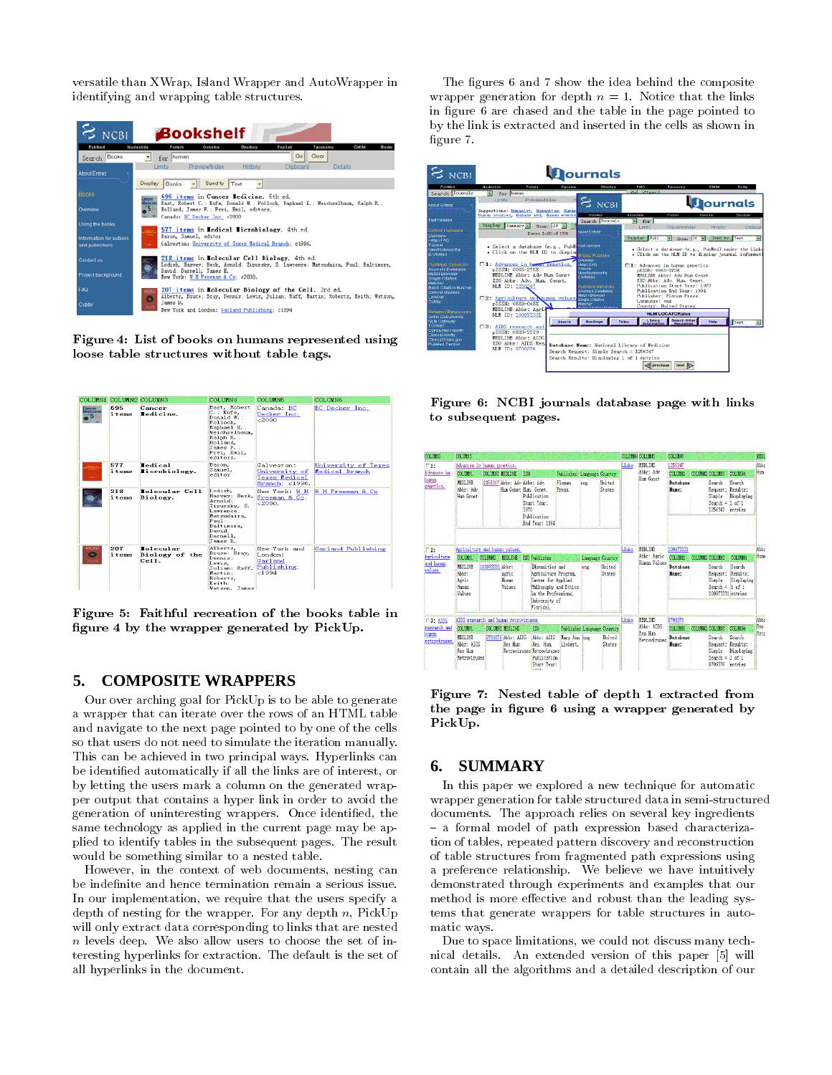versatile than XWrap, Island Wrapper and AutoWrapper in identifying and wrapping table structures.



Figure 4: List of books on humans represented using loose table structures without table tags.



Figure 5: Faithful recreation of the books table in figure 4 by the wrapper generated by PickUp.

#### 5. **COMPOSITE WRAPPERS**

Our over arching goal for PickUp is to be able to generate a wrapper that can iterate over the rows of an HTML table and navigate to the next page pointed to by one of the cells so that users do not need to simulate the iteration manually. This can be achieved in two principal ways. Hyperlinks can be identified automatically if all the links are of interest, or by letting the users mark a column on the generated wrapper output that contains a hyper link in order to avoid the generation of uninteresting wrappers. Once identified, the same technology as applied in the current page may be applied to identify tables in the subsequent pages. The result would be something similar to a nested table.

However, in the context of web documents, nesting can be indefinite and hence termination remain a serious issue. In our implementation, we require that the users specify a depth of nesting for the wrapper. For any depth  $n$ , PickUp will only extract data corresponding to links that are nested  $n$  levels deep. We also allow users to choose the set of interesting hyperlinks for extraction. The default is the set of all hyperlinks in the document.

The figures 6 and 7 show the idea behind the composite wrapper generation for depth  $n = 1$ . Notice that the links in figure 6 are chased and the table in the page pointed to by the link is extracted and inserted in the cells as shown in figure 7.



Figure 6: NCBI journals database page with links to subsequent pages.



Figure 7: Nested table of depth 1 extracted from the page in figure 6 using a wrapper generated by PickUp.

### 6. SUMMARY

In this paper we explored a new technique for automatic wrapper generation for table structured data in semi-structured documents. The approach relies on several key ingredients - a formal model of path expression based characterization of tables, repeated pattern discovery and reconstruction of table structures from fragmented path expressions using a preference relationship. We believe we have intuitively demonstrated through experiments and examples that our method is more effective and robust than the leading systems that generate wrappers for table structures in automatic ways.

Due to space limitations, we could not discuss many technical details. An extended version of this paper [5] will contain all the algorithms and a detailed description of our